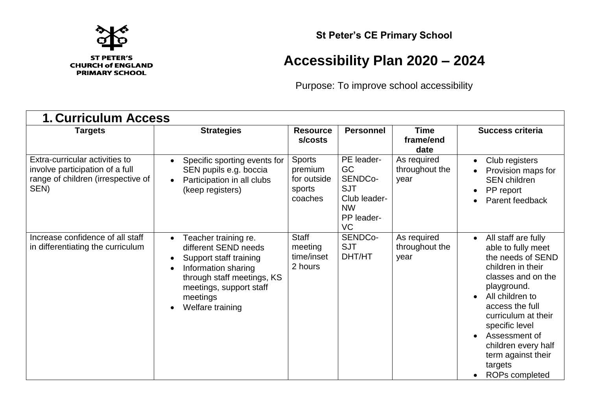

## **St Peter's CE Primary School**

## **Accessibility Plan 2020 – 2024**

Purpose: To improve school accessibility

| <b>1. Curriculum Access</b>                                                                                     |                                                                                                                                                                                                                  |                                                              |                                                                                                         |                                       |                                                                                                                                                                                                                                                                                                                                                        |  |
|-----------------------------------------------------------------------------------------------------------------|------------------------------------------------------------------------------------------------------------------------------------------------------------------------------------------------------------------|--------------------------------------------------------------|---------------------------------------------------------------------------------------------------------|---------------------------------------|--------------------------------------------------------------------------------------------------------------------------------------------------------------------------------------------------------------------------------------------------------------------------------------------------------------------------------------------------------|--|
| Targets                                                                                                         | <b>Strategies</b>                                                                                                                                                                                                | <b>Resource</b><br>s/costs                                   | <b>Personnel</b>                                                                                        | <b>Time</b><br>frame/end<br>date      | <b>Success criteria</b>                                                                                                                                                                                                                                                                                                                                |  |
| Extra-curricular activities to<br>involve participation of a full<br>range of children (irrespective of<br>SEN) | Specific sporting events for<br>$\bullet$<br>SEN pupils e.g. boccia<br>Participation in all clubs<br>(keep registers)                                                                                            | <b>Sports</b><br>premium<br>for outside<br>sports<br>coaches | PE leader-<br>GC<br>SENDC <sub>o</sub> -<br><b>SJT</b><br>Club leader-<br><b>NW</b><br>PP leader-<br>VC | As required<br>throughout the<br>year | Club registers<br>$\bullet$<br>Provision maps for<br><b>SEN</b> children<br>PP report<br>$\bullet$<br>Parent feedback<br>$\bullet$                                                                                                                                                                                                                     |  |
| Increase confidence of all staff<br>in differentiating the curriculum                                           | Teacher training re.<br>different SEND needs<br>Support staff training<br>$\bullet$<br>Information sharing<br>$\bullet$<br>through staff meetings, KS<br>meetings, support staff<br>meetings<br>Welfare training | <b>Staff</b><br>meeting<br>time/inset<br>2 hours             | SENDCo-<br><b>SJT</b><br>DHT/HT                                                                         | As required<br>throughout the<br>year | All staff are fully<br>$\bullet$<br>able to fully meet<br>the needs of SEND<br>children in their<br>classes and on the<br>playground.<br>All children to<br>$\bullet$<br>access the full<br>curriculum at their<br>specific level<br>Assessment of<br>$\bullet$<br>children every half<br>term against their<br>targets<br>ROPs completed<br>$\bullet$ |  |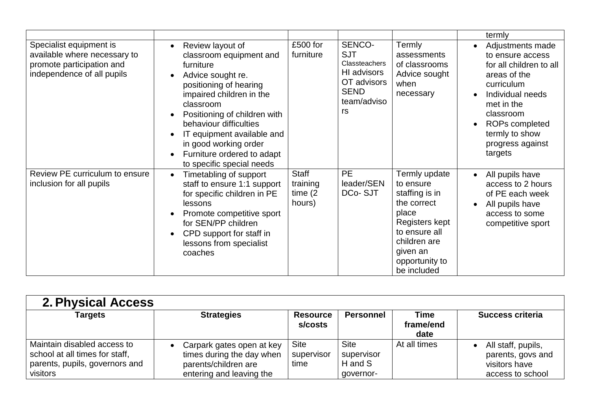|                                                                                                                    |                                                                                                                                                                                                                                                                                                                                           |                                                  |                                                                                                         |                                                                                                                                                                      | termly                                                                                                                                                                                                                       |
|--------------------------------------------------------------------------------------------------------------------|-------------------------------------------------------------------------------------------------------------------------------------------------------------------------------------------------------------------------------------------------------------------------------------------------------------------------------------------|--------------------------------------------------|---------------------------------------------------------------------------------------------------------|----------------------------------------------------------------------------------------------------------------------------------------------------------------------|------------------------------------------------------------------------------------------------------------------------------------------------------------------------------------------------------------------------------|
| Specialist equipment is<br>available where necessary to<br>promote participation and<br>independence of all pupils | Review layout of<br>classroom equipment and<br>furniture<br>Advice sought re.<br>$\bullet$<br>positioning of hearing<br>impaired children in the<br>classroom<br>Positioning of children with<br>behaviour difficulties<br>IT equipment available and<br>in good working order<br>Furniture ordered to adapt<br>to specific special needs | £500 for<br>furniture                            | SENCO-<br><b>SJT</b><br>Classteachers<br>HI advisors<br>OT advisors<br><b>SEND</b><br>team/adviso<br>rs | Termly<br>assessments<br>of classrooms<br>Advice sought<br>when<br>necessary                                                                                         | Adjustments made<br>to ensure access<br>for all children to all<br>areas of the<br>curriculum<br>Individual needs<br>$\bullet$<br>met in the<br>classroom<br>ROPs completed<br>termly to show<br>progress against<br>targets |
| Review PE curriculum to ensure<br>inclusion for all pupils                                                         | Timetabling of support<br>$\bullet$<br>staff to ensure 1:1 support<br>for specific children in PE<br>lessons<br>Promote competitive sport<br>for SEN/PP children<br>CPD support for staff in<br>lessons from specialist<br>coaches                                                                                                        | <b>Staff</b><br>training<br>time $(2)$<br>hours) | <b>PE</b><br>leader/SEN<br>DCo-SJT                                                                      | Termly update<br>to ensure<br>staffing is in<br>the correct<br>place<br>Registers kept<br>to ensure all<br>children are<br>given an<br>opportunity to<br>be included | All pupils have<br>$\bullet$<br>access to 2 hours<br>of PE each week<br>All pupils have<br>$\bullet$<br>access to some<br>competitive sport                                                                                  |

| <b>2. Physical Access</b>                                                                                   |                                                                                                            |                                   |                                                   |                           |                                                                              |  |
|-------------------------------------------------------------------------------------------------------------|------------------------------------------------------------------------------------------------------------|-----------------------------------|---------------------------------------------------|---------------------------|------------------------------------------------------------------------------|--|
| Targets                                                                                                     | <b>Strategies</b>                                                                                          | <b>Resource</b><br>s/costs        | <b>Personnel</b>                                  | Time<br>frame/end<br>date | <b>Success criteria</b>                                                      |  |
| Maintain disabled access to<br>school at all times for staff,<br>parents, pupils, governors and<br>visitors | Carpark gates open at key<br>times during the day when<br>parents/children are<br>entering and leaving the | <b>Site</b><br>supervisor<br>time | <b>Site</b><br>supervisor<br>H and S<br>governor- | At all times              | All staff, pupils,<br>parents, govs and<br>visitors have<br>access to school |  |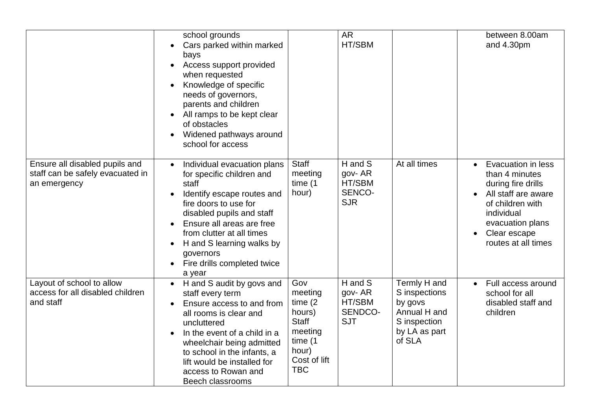|                                                                                    | school grounds<br>Cars parked within marked<br>$\bullet$<br>bays<br>Access support provided<br>$\bullet$<br>when requested<br>Knowledge of specific<br>needs of governors,<br>parents and children<br>All ramps to be kept clear<br>of obstacles<br>Widened pathways around<br>school for access                             |                                                                                                                     | <b>AR</b><br>HT/SBM                                  |                                                                                                     | between 8.00am<br>and 4.30pm                                                                                                                                                                |
|------------------------------------------------------------------------------------|------------------------------------------------------------------------------------------------------------------------------------------------------------------------------------------------------------------------------------------------------------------------------------------------------------------------------|---------------------------------------------------------------------------------------------------------------------|------------------------------------------------------|-----------------------------------------------------------------------------------------------------|---------------------------------------------------------------------------------------------------------------------------------------------------------------------------------------------|
| Ensure all disabled pupils and<br>staff can be safely evacuated in<br>an emergency | Individual evacuation plans<br>$\bullet$<br>for specific children and<br>staff<br>Identify escape routes and<br>fire doors to use for<br>disabled pupils and staff<br>Ensure all areas are free<br>from clutter at all times<br>H and S learning walks by<br>$\bullet$<br>governors<br>Fire drills completed twice<br>a year | <b>Staff</b><br>meeting<br>time (1<br>hour)                                                                         | H and S<br>gov-AR<br>HT/SBM<br>SENCO-<br><b>SJR</b>  | At all times                                                                                        | Evacuation in less<br>$\bullet$<br>than 4 minutes<br>during fire drills<br>All staff are aware<br>of children with<br>individual<br>evacuation plans<br>Clear escape<br>routes at all times |
| Layout of school to allow<br>access for all disabled children<br>and staff         | H and S audit by govs and<br>$\bullet$<br>staff every term<br>Ensure access to and from<br>all rooms is clear and<br>uncluttered<br>In the event of a child in a<br>$\bullet$<br>wheelchair being admitted<br>to school in the infants, a<br>lift would be installed for<br>access to Rowan and<br>Beech classrooms          | Gov<br>meeting<br>time $(2)$<br>hours)<br><b>Staff</b><br>meeting<br>time (1<br>hour)<br>Cost of lift<br><b>TBC</b> | H and S<br>gov-AR<br>HT/SBM<br>SENDCO-<br><b>SJT</b> | Termly H and<br>S inspections<br>by govs<br>Annual H and<br>S inspection<br>by LA as part<br>of SLA | Full access around<br>$\bullet$<br>school for all<br>disabled staff and<br>children                                                                                                         |